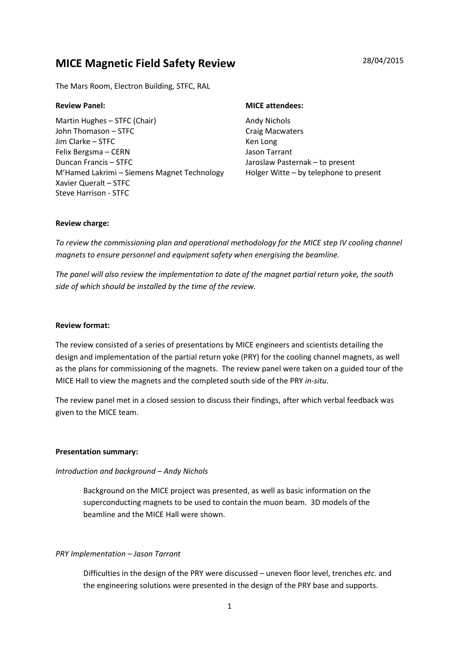# MICE Magnetic Field Safety Review 28/04/2015

The Mars Room, Electron Building, STFC, RAL

Martin Hughes – STFC (Chair) John Thomason – STFC Jim Clarke – STFC Felix Bergsma – CERN Duncan Francis – STFC M'Hamed Lakrimi – Siemens Magnet Technology Xavier Queralt – STFC Steve Harrison - STFC

#### Review Panel: Note attendees: NICE attendees:

Andy Nichols Craig Macwaters Ken Long Jason Tarrant Jaroslaw Pasternak – to present Holger Witte – by telephone to present

### Review charge:

To review the commissioning plan and operational methodology for the MICE step IV cooling channel magnets to ensure personnel and equipment safety when energising the beamline.

The panel will also review the implementation to date of the magnet partial return yoke, the south side of which should be installed by the time of the review.

### Review format:

The review consisted of a series of presentations by MICE engineers and scientists detailing the design and implementation of the partial return yoke (PRY) for the cooling channel magnets, as well as the plans for commissioning of the magnets. The review panel were taken on a guided tour of the MICE Hall to view the magnets and the completed south side of the PRY in-situ.

The review panel met in a closed session to discuss their findings, after which verbal feedback was given to the MICE team.

#### Presentation summary:

# Introduction and background – Andy Nichols

Background on the MICE project was presented, as well as basic information on the superconducting magnets to be used to contain the muon beam. 3D models of the beamline and the MICE Hall were shown.

# PRY Implementation – Jason Tarrant

Difficulties in the design of the PRY were discussed – uneven floor level, trenches etc. and the engineering solutions were presented in the design of the PRY base and supports.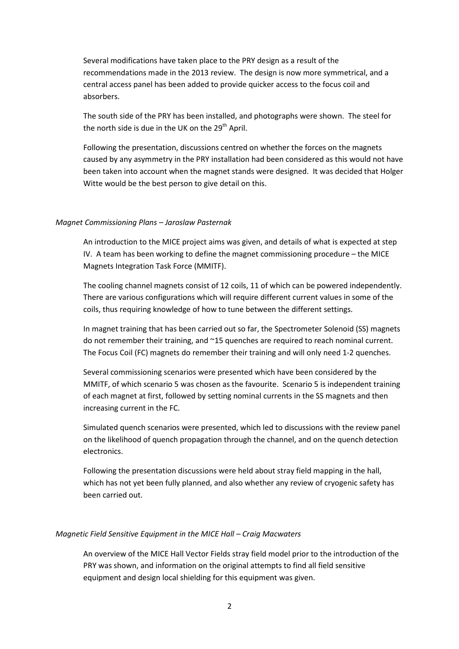Several modifications have taken place to the PRY design as a result of the recommendations made in the 2013 review. The design is now more symmetrical, and a central access panel has been added to provide quicker access to the focus coil and absorbers.

The south side of the PRY has been installed, and photographs were shown. The steel for the north side is due in the UK on the  $29<sup>th</sup>$  April.

Following the presentation, discussions centred on whether the forces on the magnets caused by any asymmetry in the PRY installation had been considered as this would not have been taken into account when the magnet stands were designed. It was decided that Holger Witte would be the best person to give detail on this.

#### Magnet Commissioning Plans – Jaroslaw Pasternak

An introduction to the MICE project aims was given, and details of what is expected at step IV. A team has been working to define the magnet commissioning procedure – the MICE Magnets Integration Task Force (MMITF).

The cooling channel magnets consist of 12 coils, 11 of which can be powered independently. There are various configurations which will require different current values in some of the coils, thus requiring knowledge of how to tune between the different settings.

In magnet training that has been carried out so far, the Spectrometer Solenoid (SS) magnets do not remember their training, and ~15 quenches are required to reach nominal current. The Focus Coil (FC) magnets do remember their training and will only need 1-2 quenches.

Several commissioning scenarios were presented which have been considered by the MMITF, of which scenario 5 was chosen as the favourite. Scenario 5 is independent training of each magnet at first, followed by setting nominal currents in the SS magnets and then increasing current in the FC.

Simulated quench scenarios were presented, which led to discussions with the review panel on the likelihood of quench propagation through the channel, and on the quench detection electronics.

Following the presentation discussions were held about stray field mapping in the hall, which has not yet been fully planned, and also whether any review of cryogenic safety has been carried out.

#### Magnetic Field Sensitive Equipment in the MICE Hall – Craig Macwaters

An overview of the MICE Hall Vector Fields stray field model prior to the introduction of the PRY was shown, and information on the original attempts to find all field sensitive equipment and design local shielding for this equipment was given.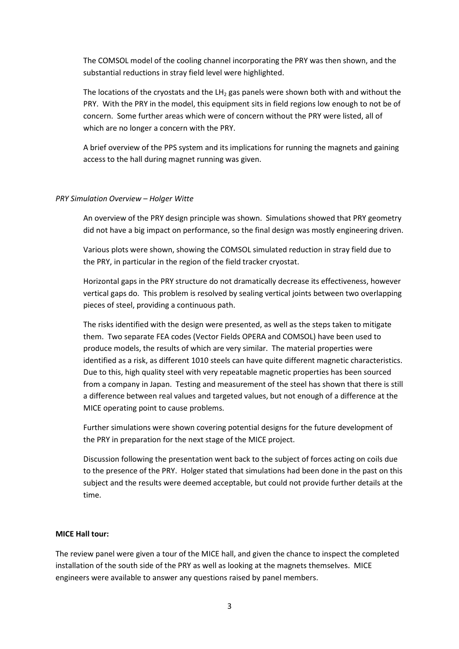The COMSOL model of the cooling channel incorporating the PRY was then shown, and the substantial reductions in stray field level were highlighted.

The locations of the cryostats and the  $LH<sub>2</sub>$  gas panels were shown both with and without the PRY. With the PRY in the model, this equipment sits in field regions low enough to not be of concern. Some further areas which were of concern without the PRY were listed, all of which are no longer a concern with the PRY.

A brief overview of the PPS system and its implications for running the magnets and gaining access to the hall during magnet running was given.

#### PRY Simulation Overview – Holger Witte

An overview of the PRY design principle was shown. Simulations showed that PRY geometry did not have a big impact on performance, so the final design was mostly engineering driven.

Various plots were shown, showing the COMSOL simulated reduction in stray field due to the PRY, in particular in the region of the field tracker cryostat.

Horizontal gaps in the PRY structure do not dramatically decrease its effectiveness, however vertical gaps do. This problem is resolved by sealing vertical joints between two overlapping pieces of steel, providing a continuous path.

The risks identified with the design were presented, as well as the steps taken to mitigate them. Two separate FEA codes (Vector Fields OPERA and COMSOL) have been used to produce models, the results of which are very similar. The material properties were identified as a risk, as different 1010 steels can have quite different magnetic characteristics. Due to this, high quality steel with very repeatable magnetic properties has been sourced from a company in Japan. Testing and measurement of the steel has shown that there is still a difference between real values and targeted values, but not enough of a difference at the MICE operating point to cause problems.

Further simulations were shown covering potential designs for the future development of the PRY in preparation for the next stage of the MICE project.

Discussion following the presentation went back to the subject of forces acting on coils due to the presence of the PRY. Holger stated that simulations had been done in the past on this subject and the results were deemed acceptable, but could not provide further details at the time.

#### MICE Hall tour:

The review panel were given a tour of the MICE hall, and given the chance to inspect the completed installation of the south side of the PRY as well as looking at the magnets themselves. MICE engineers were available to answer any questions raised by panel members.